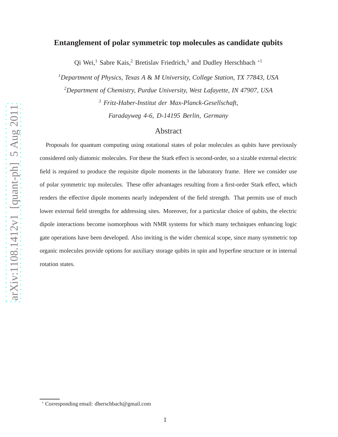# **Entanglement of polar symmetric top molecules as candidate qubits**

Qi Wei,<sup>1</sup> Sabre Kais,<sup>2</sup> Bretislav Friedrich,<sup>3</sup> and Dudley Herschbach<sup>\*1</sup>

*<sup>1</sup>Department of Physics, Texas A* & *M University, College Station, TX 77843, USA*

*<sup>2</sup>Department of Chemistry, Purdue University, West Lafayette, IN 47907, USA*

*<sup>3</sup> Fritz-Haber-Institut der Max-Planck-Gesellschaft,*

*Faradayweg 4-6, D-14195 Berlin, Germany*

# Abstract

Proposals for quantum computing using rotational states of polar molecules as qubits have previously considered only diatomic molecules. For these the Stark effect is second-order, so a sizable external electric field is required to produce the requisite dipole moments in the laboratory frame. Here we consider use of polar symmetric top molecules. These offer advantages resulting from a first-order Stark effect, which renders the effective dipole moments nearly independent of the field strength. That permits use of much lower external field strengths for addressing sites. Moreover, for a particular choice of qubits, the electric dipole interactions become isomorphous with NMR systems for which many techniques enhancing logic gate operations have been developed. Also inviting is the wider chemical scope, since many symmetric top organic molecules provide options for auxiliary storage qubits in spin and hyperfine structure or in internal rotation states.

<sup>∗</sup> Corresponding email: dherschbach@gmail.com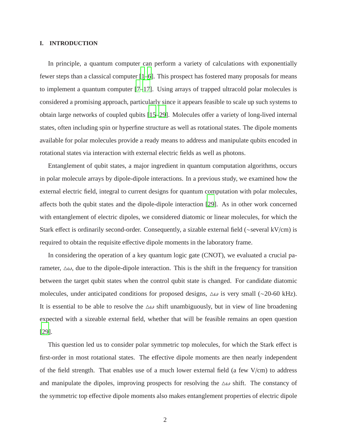# **I. INTRODUCTION**

In principle, a quantum computer can perform a variety of calculations with exponentially fewer steps than a classical computer [\[1](#page-23-0)[–6\]](#page-23-1). This prospect has fostered many proposals for means to implement a quantum computer [\[7](#page-23-2)[–17\]](#page-23-3). Using arrays of trapped ultracold polar molecules is considered a promising approach, particularly since it appears feasible to scale up such systems to obtain large networks of coupled qubits [\[15](#page-23-4)[–29\]](#page-24-0). Molecules offer a variety of long-lived internal states, often including spin or hyperfine structure as well as rotational states. The dipole moments available for polar molecules provide a ready means to address and manipulate qubits encoded in rotational states via interaction with external electric fields as well as photons.

Entanglement of qubit states, a major ingredient in quantum computation algorithms, occurs in polar molecule arrays by dipole-dipole interactions. In a previous study, we examined how the external electric field, integral to current designs for quantum computation with polar molecules, affects both the qubit states and the dipole-dipole interaction [\[29](#page-24-0)]. As in other work concerned with entanglement of electric dipoles, we considered diatomic or linear molecules, for which the Stark effect is ordinarily second-order. Consequently, a sizable external field (∼several kV/cm) is required to obtain the requisite effective dipole moments in the laboratory frame.

In considering the operation of a key quantum logic gate (CNOT), we evaluated a crucial parameter,  $\Delta\omega$ , due to the dipole-dipole interaction. This is the shift in the frequency for transition between the target qubit states when the control qubit state is changed. For candidate diatomic molecules, under anticipated conditions for proposed designs,  $\Delta \omega$  is very small (∼20-60 kHz). It is essential to be able to resolve the  $\Delta\omega$  shift unambiguously, but in view of line broadening expected with a sizeable external field, whether that will be feasible remains an open question [\[29\]](#page-24-0).

This question led us to consider polar symmetric top molecules, for which the Stark effect is first-order in most rotational states. The effective dipole moments are then nearly independent of the field strength. That enables use of a much lower external field (a few V/cm) to address and manipulate the dipoles, improving prospects for resolving the  $\Delta\omega$  shift. The constancy of the symmetric top effective dipole moments also makes entanglement properties of electric dipole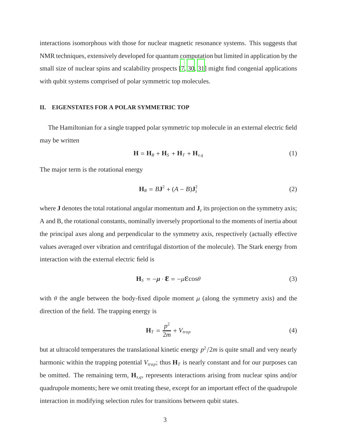interactions isomorphous with those for nuclear magnetic resonance systems. This suggests that NMR techniques, extensively developed for quantum computation but limited in application by the small size of nuclear spins and scalability prospects [\[7,](#page-23-2) [30](#page-24-1), [31](#page-24-2)] might find congenial applications with qubit systems comprised of polar symmetric top molecules.

# **II. EIGENSTATES FOR A POLAR SYMMETRIC TOP**

The Hamiltonian for a single trapped polar symmetric top molecule in an external electric field may be written

$$
\mathbf{H} = \mathbf{H}_R + \mathbf{H}_S + \mathbf{H}_T + \mathbf{H}_{s,q} \tag{1}
$$

The major term is the rotational energy

$$
\mathbf{H}_R = B\mathbf{J}^2 + (A - B)\mathbf{J}_z^2 \tag{2}
$$

where **J** denotes the total rotational angular momentum and **J***<sup>z</sup>* its projection on the symmetry axis; A and B, the rotational constants, nominally inversely proportional to the moments of inertia about the principal axes along and perpendicular to the symmetry axis, respectively (actually effective values averaged over vibration and centrifugal distortion of the molecule). The Stark energy from interaction with the external electric field is

$$
\mathbf{H}_{S} = -\boldsymbol{\mu} \cdot \boldsymbol{\mathcal{E}} = -\mu \boldsymbol{\mathcal{E}} \cos \theta \tag{3}
$$

with  $\theta$  the angle between the body-fixed dipole moment  $\mu$  (along the symmetry axis) and the direction of the field. The trapping energy is

$$
\mathbf{H}_T = \frac{p^2}{2m} + V_{trap} \tag{4}
$$

but at ultracold temperatures the translational kinetic energy  $p^2/2m$  is quite small and very nearly harmonic within the trapping potential  $V_{trap}$ ; thus  $H_T$  is nearly constant and for our purposes can be omitted. The remaining term, **H***<sup>s</sup>*,*<sup>q</sup>*, represents interactions arising from nuclear spins and/or quadrupole moments; here we omit treating these, except for an important effect of the quadrupole interaction in modifying selection rules for transitions between qubit states.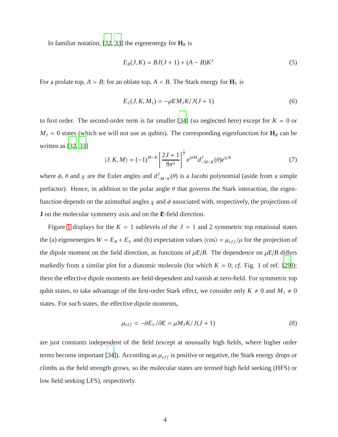In familiar notation, [\[32,](#page-24-3) [33\]](#page-24-4) the eigenenergy for  $\mathbf{H}_R$  is

$$
E_R(J, K) = BJ(J+1) + (A - B)K^2
$$
\n(5)

For a prolate top,  $A > B$ ; for an oblate top,  $A < B$ . The Stark energy for  $\mathbf{H}_S$  is

$$
E_S(J, K, M_J) = -\mu \mathcal{E} M_J K / J(J+1)
$$
\n(6)

to first order. The second-order term is far smaller [\[34](#page-24-5)] (so neglected here) except for  $K = 0$  or  $M_J = 0$  states (which we will not use as qubits). The corresponding eigenfunction for  $\mathbf{H}_R$  can be written as [\[32,](#page-24-3) [33\]](#page-24-4)

$$
|J, K, M\rangle = (-1)^{M-K} \left[ \frac{2J+1}{8\pi^2} \right]^{\frac{1}{2}} e^{i\phi M} d_{-M-K}^J(\theta) e^{i\chi K}
$$
 (7)

where  $\phi$ ,  $\theta$  and  $\chi$  are the Euler angles and  $d_{\perp}^{J}$  $J_{-M-K}$ (θ) is a Jacobi polynomial (aside from a simple prefactor). Hence, in addition to the polar angle  $\theta$  that governs the Stark interaction, the eigenfunction depends on the azimuthal angles  $\chi$  and  $\phi$  associated with, respectively, the projections of **J** on the molecular symmetry axis and on the **E**-field direction.

Figure [1](#page-26-0) displays for the  $K = 1$  sublevels of the  $J = 1$  and 2 symmetric top rotational states the (a) eigenenergies  $W = E_R + E_S$  and (b) expectation values  $\langle \cos \rangle = \mu_{eff}/\mu$  for the projection of the dipole moment on the field direction, as functions of  $\mu \mathcal{E}/B$ . The dependence on  $\mu \mathcal{E}/B$  differs markedly from a similar plot for a diatomic molecule (for which  $K = 0$ ; *cf.* Fig. 1 of ref. [\[29\]](#page-24-0)); there the effective dipole moments are field-dependent and vanish at zero-field. For symmetric top qubit states, to take advantage of the first-order Stark effect, we consider only  $K \neq 0$  and  $M_J \neq 0$ states. For such states, the effective dipole moments,

$$
\mu_{eff} = -\partial E_S / \partial \mathcal{E} = \mu M_J K / J (J + 1)
$$
\n(8)

are just constants independent of the field (except at unusually high fields, where higher order terms become important [\[34\]](#page-24-5)). According as  $\mu_{eff}$  is positive or negative, the Stark energy drops or climbs as the field strength grows, so the molecular states are termed high field seeking (HFS) or low field seeking LFS), respectively.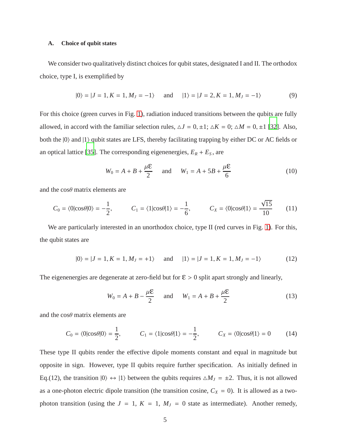#### **A. Choice of qubit states**

We consider two qualitatively distinct choices for qubit states, designated I and II. The orthodox choice, type I, is exemplified by

$$
|0\rangle = |J = 1, K = 1, M_J = -1\rangle
$$
 and  $|1\rangle = |J = 2, K = 1, M_J = -1\rangle$  (9)

For this choice (green curves in Fig. [1\)](#page-26-0), radiation induced transitions between the qubits are fully allowed, in accord with the familiar selection rules,  $\Delta J = 0, \pm 1$ ;  $\Delta K = 0$ ;  $\Delta M = 0, \pm 1$  [\[32\]](#page-24-3). Also, both the  $|0\rangle$  and  $|1\rangle$  qubit states are LFS, thereby facilitating trapping by either DC or AC fields or an optical lattice [\[35\]](#page-24-6). The corresponding eigenenergies,  $E_R + E_S$ , are

$$
W_0 = A + B + \frac{\mu \mathcal{E}}{2}
$$
 and  $W_1 = A + 5B + \frac{\mu \mathcal{E}}{6}$  (10)

and the  $\cos\theta$  matrix elements are

$$
C_0 = \langle 0|\cos\theta|0\rangle = -\frac{1}{2}, \qquad C_1 = \langle 1|\cos\theta|1\rangle = -\frac{1}{6}, \qquad C_X = \langle 0|\cos\theta|1\rangle = \frac{\sqrt{15}}{10} \qquad (11)
$$

We are particularly interested in an unorthodox choice, type II (red curves in Fig. [1\)](#page-26-0). For this, the qubit states are

$$
|0\rangle = |J = 1, K = 1, M_J = +1\rangle \quad \text{and} \quad |1\rangle = |J = 1, K = 1, M_J = -1\rangle \tag{12}
$$

The eigenenergies are degenerate at zero-field but for  $\mathcal{E} > 0$  split apart strongly and linearly,

$$
W_0 = A + B - \frac{\mu \mathcal{E}}{2} \quad \text{and} \quad W_1 = A + B + \frac{\mu \mathcal{E}}{2} \tag{13}
$$

and the  $\cos\theta$  matrix elements are

$$
C_0 = \langle 0|\cos\theta|0\rangle = \frac{1}{2}, \qquad C_1 = \langle 1|\cos\theta|1\rangle = -\frac{1}{2}, \qquad C_X = \langle 0|\cos\theta|1\rangle = 0 \qquad (14)
$$

These type II qubits render the effective dipole moments constant and equal in magnitude but opposite in sign. However, type II qubits require further specification. As initially defined in Eq.(12), the transition  $|0\rangle \leftrightarrow |1\rangle$  between the qubits requires  $\triangle M_J = \pm 2$ . Thus, it is not allowed as a one-photon electric dipole transition (the transition cosine,  $C_X = 0$ ). It is allowed as a twophoton transition (using the  $J = 1$ ,  $K = 1$ ,  $M_J = 0$  state as intermediate). Another remedy,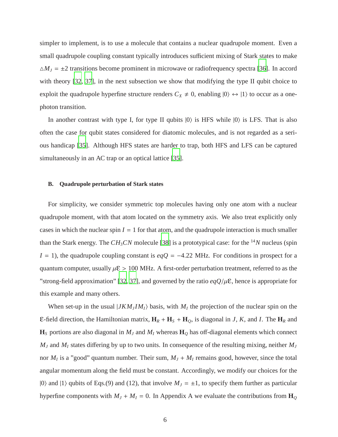simpler to implement, is to use a molecule that contains a nuclear quadrupole moment. Even a small quadrupole coupling constant typically introduces sufficient mixing of Stark states to make  $\Delta M_J = \pm 2$  transitions become prominent in microwave or radiofrequency spectra [\[36\]](#page-24-7). In accord with theory [\[32,](#page-24-3) [37](#page-24-8)], in the next subsection we show that modifying the type II qubit choice to exploit the quadrupole hyperfine structure renders  $C_X \neq 0$ , enabling  $|0\rangle \leftrightarrow |1\rangle$  to occur as a onephoton transition.

In another contrast with type I, for type II qubits  $|0\rangle$  is HFS while  $|0\rangle$  is LFS. That is also often the case for qubit states considered for diatomic molecules, and is not regarded as a serious handicap [\[35](#page-24-6)]. Although HFS states are harder to trap, both HFS and LFS can be captured simultaneously in an AC trap or an optical lattice [\[35\]](#page-24-6).

### **B. Quadrupole perturbation of Stark states**

For simplicity, we consider symmetric top molecules having only one atom with a nuclear quadrupole moment, with that atom located on the symmetry axis. We also treat explicitly only cases in which the nuclear spin  $I = 1$  for that atom, and the quadrupole interaction is much smaller than the Stark energy. The  $CH_3CN$  molecule [\[38\]](#page-24-9) is a prototypical case: for the <sup>14</sup>N nucleus (spin *I* = 1), the quadrupole coupling constant is  $eqQ = -4.22$  MHz. For conditions in prospect for a quantum computer, usually  $\mu \mathcal{E} > 100$  MHz. A first-order perturbation treatment, referred to as the "strong-field approximation" [\[32](#page-24-3), [37\]](#page-24-8), and governed by the ratio  $eqQ/\mu\epsilon$ , hence is appropriate for this example and many others.

When set-up in the usual  $|JKM_JIM_I\rangle$  basis, with  $M_I$  the projection of the nuclear spin on the E-field direction, the Hamiltonian matrix,  $\mathbf{H}_R + \mathbf{H}_S + \mathbf{H}_Q$ , is diagonal in *J*, *K*, and *I*. The  $\mathbf{H}_R$  and  $\mathbf{H}_S$  portions are also diagonal in  $M_J$  and  $M_I$  whereas  $\mathbf{H}_Q$  has off-diagonal elements which connect  $M_J$  and  $M_I$  states differing by up to two units. In consequence of the resulting mixing, neither  $M_J$ nor  $M_I$  is a "good" quantum number. Their sum,  $M_J + M_I$  remains good, however, since the total angular momentum along the field must be constant. Accordingly, we modify our choices for the  $|0\rangle$  and  $|1\rangle$  qubits of Eqs.(9) and (12), that involve  $M_J = \pm 1$ , to specify them further as particular hyperfine components with  $M_J + M_I = 0$ . In Appendix A we evaluate the contributions from  $\mathbf{H}_Q$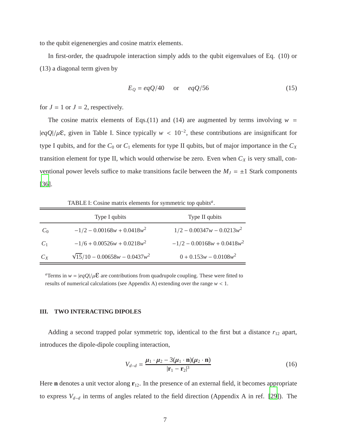to the qubit eigenenergies and cosine matrix elements.

In first-order, the quadrupole interaction simply adds to the qubit eigenvalues of Eq. (10) or (13) a diagonal term given by

$$
E_Q = eqQ/40 \quad \text{or} \quad eqQ/56 \tag{15}
$$

for  $J = 1$  or  $J = 2$ , respectively.

The cosine matrix elements of Eqs.(11) and (14) are augmented by terms involving  $w =$  $|eqQ|/\mu\epsilon$ , given in Table I. Since typically  $w < 10^{-2}$ , these contributions are insignificant for type I qubits, and for the  $C_0$  or  $C_1$  elements for type II qubits, but of major importance in the  $C_X$ transition element for type II, which would otherwise be zero. Even when  $C_X$  is very small, conventional power levels suffice to make transitions facile between the  $M_J = \pm 1$  Stark components [\[36\]](#page-24-7).

TABLE I: Cosine matrix elements for symmetric top qubits*<sup>a</sup>* .

|       | Type I qubits                         | Type II qubits                |
|-------|---------------------------------------|-------------------------------|
| $C_0$ | $-1/2 - 0.00168w + 0.0418w^2$         | $1/2 - 0.00347w - 0.0213w^2$  |
| $C_1$ | $-1/6 + 0.00526w + 0.0218w^2$         | $-1/2 - 0.00168w + 0.0418w^2$ |
| $C_X$ | $\sqrt{15}/10 - 0.00658w - 0.0437w^2$ | $0 + 0.153w - 0.0108w^2$      |

*a*Terms in  $w = |eqQ|/\mu \mathbf{E}$  are contributions from quadrupole coupling. These were fitted to results of numerical calculations (see Appendix A) extending over the range *w* < 1.

#### **III. TWO INTERACTING DIPOLES**

Adding a second trapped polar symmetric top, identical to the first but a distance  $r_{12}$  apart, introduces the dipole-dipole coupling interaction,

$$
V_{d-d} = \frac{\mu_1 \cdot \mu_2 - 3(\mu_1 \cdot \mathbf{n})(\mu_2 \cdot \mathbf{n})}{|\mathbf{r}_1 - \mathbf{r}_2|^3}
$$
(16)

Here **n** denotes a unit vector along  $\mathbf{r}_{12}$ . In the presence of an external field, it becomes appropriate to express *V<sup>d</sup>*−*<sup>d</sup>* in terms of angles related to the field direction (Appendix A in ref. [\[29](#page-24-0)]). The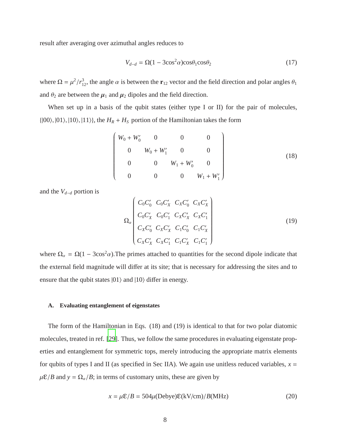result after averaging over azimuthal angles reduces to

$$
V_{d-d} = \Omega(1 - 3\cos^2 \alpha)\cos\theta_1 \cos\theta_2 \tag{17}
$$

where  $\Omega = \mu^2/r_{12}^3$ , the angle  $\alpha$  is between the **r**<sub>12</sub> vector and the field direction and polar angles  $\theta_1$ and  $\theta_2$  are between the  $\mu_1$  and  $\mu_2$  dipoles and the field direction.

When set up in a basis of the qubit states (either type I or II) for the pair of molecules,  $\{|00\rangle, |01\rangle, |10\rangle, |11\rangle\},\$  the  $H_R + H_S$  portion of the Hamiltonian takes the form

$$
\begin{pmatrix}\nW_0 + W'_0 & 0 & 0 & 0 \\
0 & W_0 + W'_1 & 0 & 0 \\
0 & 0 & W_1 + W'_0 & 0 \\
0 & 0 & 0 & W_1 + W'_1\n\end{pmatrix}
$$
\n(18)

and the *V<sup>d</sup>*−*<sup>d</sup>* portion is

$$
\Omega_{\alpha} \begin{pmatrix} C_{0}C_{0}^{\prime} & C_{0}C_{X}^{\prime} & C_{X}C_{0}^{\prime} & C_{X}C_{X}^{\prime} \\ C_{0}C_{X}^{\prime} & C_{0}C_{1}^{\prime} & C_{X}C_{X}^{\prime} & C_{X}C_{1}^{\prime} \\ C_{X}C_{0}^{\prime} & C_{X}C_{X}^{\prime} & C_{1}C_{0}^{\prime} & C_{1}C_{X}^{\prime} \\ C_{X}C_{X}^{\prime} & C_{X}C_{1}^{\prime} & C_{1}C_{X}^{\prime} & C_{1}C_{1}^{\prime} \end{pmatrix}
$$
\n
$$
(19)
$$

where  $\Omega_a = \Omega(1 - 3\cos^2\alpha)$ . The primes attached to quantities for the second dipole indicate that the external field magnitude will differ at its site; that is necessary for addressing the sites and to ensure that the qubit states  $|01\rangle$  and  $|10\rangle$  differ in energy.

### **A. Evaluating entanglement of eigenstates**

The form of the Hamiltonian in Eqs. (18) and (19) is identical to that for two polar diatomic molecules, treated in ref. [\[29\]](#page-24-0). Thus, we follow the same procedures in evaluating eigenstate properties and entanglement for symmetric tops, merely introducing the appropriate matrix elements for qubits of types I and II (as specified in Sec IIA). We again use unitless reduced variables,  $x =$  $\mu \mathcal{E}/B$  and  $y = \Omega_{\alpha}/B$ ; in terms of customary units, these are given by

$$
x = \mu \mathcal{E}/B = 504\mu(\text{Debye})\mathcal{E}(kV/cm)/B(MHz)
$$
 (20)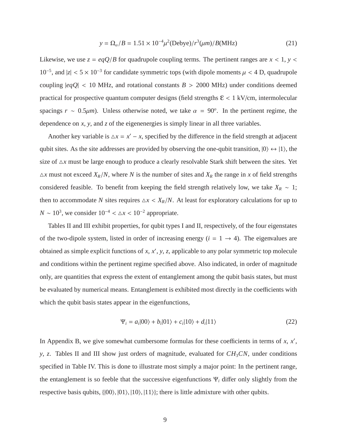$$
y = \Omega_{\alpha}/B = 1.51 \times 10^{-4} \mu^{2} \text{(Debye)} / r^{3} \text{(µm)} / B(\text{MHz}) \tag{21}
$$

Likewise, we use  $z = \frac{eqQ}{B}$  for quadrupole coupling terms. The pertinent ranges are  $x < 1$ ,  $y <$ 10<sup>-5</sup>, and  $|z|$  < 5 × 10<sup>-3</sup> for candidate symmetric tops (with dipole moments  $μ$  < 4 D, quadrupole coupling  $|eqQ| < 10$  MHz, and rotational constants  $B > 2000$  MHz) under conditions deemed practical for prospective quantum computer designs (field strengths  $\epsilon$  < 1 kV/cm, intermolecular spacings  $r \sim 0.5 \mu m$ ). Unless otherwise noted, we take  $\alpha = 90^\circ$ . In the pertinent regime, the dependence on *x*, *y*, and *z* of the eigenenergies is simply linear in all three variables.

Another key variable is  $\Delta x = x' - x$ , specified by the difference in the field strength at adjacent qubit sites. As the site addresses are provided by observing the one-qubit transition,  $|0\rangle \leftrightarrow |1\rangle$ , the size of  $\Delta x$  must be large enough to produce a clearly resolvable Stark shift between the sites. Yet  $\triangle x$  must not exceed  $X_R/N$ , where N is the number of sites and  $X_R$  the range in x of field strengths considered feasible. To benefit from keeping the field strength relatively low, we take  $X_R \sim 1$ ; then to accommodate *N* sites requires  $\Delta x < X_R/N$ . At least for exploratory calculations for up to  $N \sim 10^3$ , we consider  $10^{-4} < \Delta x < 10^{-2}$  appropriate.

Tables II and III exhibit properties, for qubit types I and II, respectively, of the four eigenstates of the two-dipole system, listed in order of increasing energy  $(i = 1 \rightarrow 4)$ . The eigenvalues are obtained as simple explicit functions of *x*, *x* ′ , *y*, *z*, applicable to any polar symmetric top molecule and conditions within the pertinent regime specified above. Also indicated, in order of magnitude only, are quantities that express the extent of entanglement among the qubit basis states, but must be evaluated by numerical means. Entanglement is exhibited most directly in the coefficients with which the qubit basis states appear in the eigenfunctions,

$$
\Psi_i = a_i |00\rangle + b_i |01\rangle + c_i |10\rangle + d_i |11\rangle \tag{22}
$$

In Appendix B, we give somewhat cumbersome formulas for these coefficients in terms of  $x$ ,  $x'$ , *y*, *z*. Tables II and III show just orders of magnitude, evaluated for *CH*<sub>3</sub>*CN*, under conditions specified in Table IV. This is done to illustrate most simply a major point: In the pertinent range, the entanglement is so feeble that the successive eigenfunctions Ψ*<sup>i</sup>* differ only slightly from the respective basis qubits,  $\{ |00\rangle, |01\rangle, |10\rangle, |11\rangle\}$ ; there is little admixture with other qubits.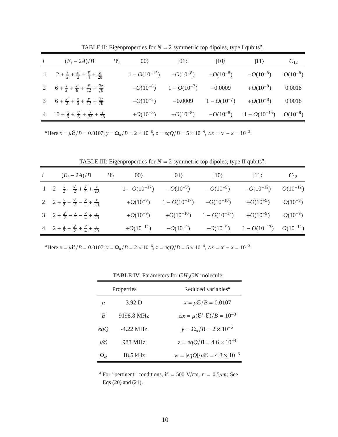| i | $(E_i - 2A)/B$                                                           | $\Psi_i$ | $ 00\rangle$  | $ 01\rangle$                                    | $ 10\rangle$ | $ 11\rangle$                                             | $C_{12}$ |
|---|--------------------------------------------------------------------------|----------|---------------|-------------------------------------------------|--------------|----------------------------------------------------------|----------|
|   | 1 $2 + \frac{x}{2} + \frac{x'}{2} + \frac{y}{4} + \frac{z}{20}$          |          |               | $1 - O(10^{-15})$ $+ O(10^{-8})$ $+ O(10^{-8})$ |              | $-O(10^{-8})$ $O(10^{-8})$                               |          |
|   | 2  6 + $\frac{x}{2}$ + $\frac{x'}{6}$ + $\frac{y}{12}$ + $\frac{3z}{70}$ |          |               | $-O(10^{-8})$ $1-O(10^{-7})$ $-0.0009$          |              | $+O(10^{-8})$ 0.0018                                     |          |
|   | 3 $6 + \frac{x'}{2} + \frac{x}{6} + \frac{y}{12} + \frac{3z}{70}$        |          | $-O(10^{-8})$ |                                                 |              | $-0.0009$ $1 - O(10^{-7})$ $+O(10^{-8})$ 0.0018          |          |
|   | 4 $10 + \frac{x}{6} + \frac{x'}{6} + \frac{y}{36} + \frac{z}{28}$        |          | $+O(10^{-8})$ |                                                 |              | $-O(10^{-8})$ $-O(10^{-8})$ $1-O(10^{-15})$ $O(10^{-8})$ |          |

TABLE II: Eigenproperties for  $N = 2$  symmetric top dipoles, type I qubits<sup>a</sup>.

*a*Here  $x = \mu \mathcal{E}/B = 0.0107$ ,  $y = \Omega_{\alpha}/B = 2 \times 10^{-6}$ ,  $z = eqQ/B = 5 \times 10^{-4}$ ,  $\Delta x = x' - x = 10^{-3}$ .

TABLE III: Eigenproperties for  $N = 2$  symmetric top dipoles, type II qubits<sup>a</sup>.

| <i>i</i> $(E_i - 2A)/B$ $\Psi_i$                                      | $ 00\rangle$   | $ 01\rangle$                                   | $ 10\rangle$ | $ 11\rangle$                                                                         | $C_{12}$ |
|-----------------------------------------------------------------------|----------------|------------------------------------------------|--------------|--------------------------------------------------------------------------------------|----------|
| 1 $2 - \frac{x}{2} - \frac{x'}{2} + \frac{y}{4} + \frac{z}{20}$       |                | $1 - O(10^{-17})$ $-O(10^{-9})$ $-O(10^{-9})$  |              | $-O(10^{-12})$ $O(10^{-12})$                                                         |          |
| 2 $2 + \frac{x}{2} - \frac{x'}{2} - \frac{y}{4} + \frac{z}{20}$       |                | $+O(10^{-9})$ $1 - O(10^{-17})$ $-O(10^{-10})$ |              | $+O(10^{-9})$ $O(10^{-9})$                                                           |          |
| 3 2 + $\frac{x'}{2}$ - $\frac{x}{2}$ - $\frac{y}{4}$ + $\frac{z}{20}$ |                |                                                |              | $+O(10^{-9})$ $+O(10^{-10})$ $1-O(10^{-17})$ $+O(10^{-9})$ $O(10^{-9})$              |          |
| 4 2 + $\frac{x}{2}$ + $\frac{x'}{2}$ + $\frac{y}{4}$ + $\frac{z}{20}$ | $+O(10^{-12})$ |                                                |              | $-O(10^{-9}) \qquad \quad -O(10^{-9}) \qquad \quad 1-O(10^{-17}) \qquad O(10^{-12})$ |          |

*a*Here  $x = \mu \mathcal{E}/B = 0.0107$ ,  $y = \Omega_{\alpha}/B = 2 \times 10^{-6}$ ,  $z = eqQ/B = 5 \times 10^{-4}$ ,  $\Delta x = x' - x = 10^{-3}$ .

| Properties        |            | Reduced variables <sup><i>a</i></sup>                            |
|-------------------|------------|------------------------------------------------------------------|
| $\mu$             | 3.92 D     | $x = \mu \mathcal{E}/B = 0.0107$                                 |
| B                 | 9198.8 MHz | $\Delta x = \mu(\mathbf{\Sigma}' - \mathbf{\Sigma})/B = 10^{-3}$ |
| eqQ               | $-422$ MHz | $y = \Omega_\alpha / B = 2 \times 10^{-6}$                       |
| $\mu$ E           | 988 MHz    | $z = \frac{eqQ}{B} = 4.6 \times 10^{-4}$                         |
| $\Omega_{\alpha}$ | 18.5 kHz   | $w =  eqQ /\mu \mathcal{E} = 4.3 \times 10^{-3}$                 |

TABLE IV: Parameters for *CH*3*CN* molecule.

*a* For "pertinent" conditions,  $\mathcal{E} = 500$  V/cm,  $r = 0.5 \mu m$ ; See Eqs (20) and (21).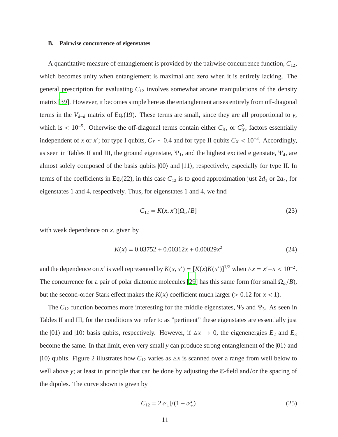#### **B. Pairwise concurrence of eigenstates**

A quantitative measure of entanglement is provided by the pairwise concurrence function,  $C_{12}$ , which becomes unity when entanglement is maximal and zero when it is entirely lacking. The general prescription for evaluating *C*<sup>12</sup> involves somewhat arcane manipulations of the density matrix [\[39](#page-24-10)]. However, it becomes simple here as the entanglement arises entirely from off-diagonal terms in the  $V_{d-d}$  matrix of Eq.(19). These terms are small, since they are all proportional to *y*, which is <  $10^{-5}$ . Otherwise the off-diagonal terms contain either  $C_X$ , or  $C_X^2$ , factors essentially independent of *x* or *x*<sup>'</sup>; for type I qubits,  $C_X \sim 0.4$  and for type II qubits  $C_X < 10^{-3}$ . Accordingly, as seen in Tables II and III, the ground eigenstate,  $\Psi_1$ , and the highest excited eigenstate,  $\Psi_4$ , are almost solely composed of the basis qubits  $|00\rangle$  and  $|11\rangle$ , respectively, especially for type II. In terms of the coefficients in Eq.(22), in this case  $C_{12}$  is to good approximation just  $2d_1$  or  $2a_4$ , for eigenstates 1 and 4, respectively. Thus, for eigenstates 1 and 4, we find

$$
C_{12} = K(x, x')[\Omega_\alpha / B]
$$
\n(23)

with weak dependence on *x*, given by

$$
K(x) = 0.03752 + 0.00312x + 0.00029x^2 \tag{24}
$$

and the dependence on *x'* is well represented by  $K(x, x') = [K(x)K(x')]^{1/2}$  when  $\Delta x = x' - x < 10^{-2}$ . The concurrence for a pair of polar diatomic molecules [\[29\]](#page-24-0) has this same form (for small  $\Omega_{\alpha}/B$ ), but the second-order Stark effect makes the  $K(x)$  coefficient much larger ( $> 0.12$  for  $x < 1$ ).

The  $C_{12}$  function becomes more interesting for the middle eigenstates,  $\Psi_2$  and  $\Psi_3$ . As seen in Tables II and III, for the conditions we refer to as "pertinent" these eigenstates are essentially just the  $|01\rangle$  and  $|10\rangle$  basis qubits, respectively. However, if  $\Delta x \rightarrow 0$ , the eigenenergies  $E_2$  and  $E_3$ become the same. In that limit, even very small *y* can produce strong entanglement of the  $|01\rangle$  and |10} qubits. Figure 2 illustrates how  $C_{12}$  varies as  $\Delta x$  is scanned over a range from well below to well above *<sup>y</sup>*; at least in principle that can be done by adjusting the ε-field and/or the spacing of the dipoles. The curve shown is given by

$$
C_{12} = 2|\alpha_{\pm}|/(1+\alpha_{\pm}^2)
$$
 (25)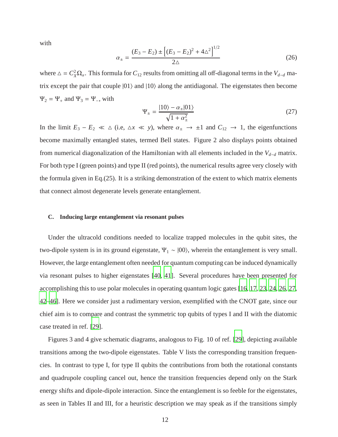with

$$
\alpha_{\pm} = \frac{(E_3 - E_2) \pm \left[ (E_3 - E_2)^2 + 4\Delta^2 \right]^{1/2}}{2\Delta} \tag{26}
$$

where  $\Delta = C_X^2 \Omega_a$ . This formula for  $C_{12}$  results from omitting all off-diagonal terms in the *V*<sub>*d*−*d*</sub> matrix except the pair that couple  $|01\rangle$  and  $|10\rangle$  along the antidiagonal. The eigenstates then become  $\Psi_2 = \Psi_+$  and  $\Psi_3 = \Psi_-,$  with

$$
\Psi_{\pm} = \frac{|10\rangle - \alpha_{\pm}|01\rangle}{\sqrt{1 + \alpha_{\pm}^2}}
$$
\n(27)

In the limit  $E_3 - E_2 \ll \Delta$  (i.e,  $\Delta x \ll y$ ), where  $\alpha_{\pm} \to \pm 1$  and  $C_{12} \to 1$ , the eigenfunctions become maximally entangled states, termed Bell states. Figure 2 also displays points obtained from numerical diagonalization of the Hamiltonian with all elements included in the *V<sup>d</sup>*−*<sup>d</sup>* matrix. For both type I (green points) and type II (red points), the numerical results agree very closely with the formula given in Eq.(25). It is a striking demonstration of the extent to which matrix elements that connect almost degenerate levels generate entanglement.

#### **C. Inducing large entanglement via resonant pulses**

Under the ultracold conditions needed to localize trapped molecules in the qubit sites, the two-dipole system is in its ground eigenstate,  $\Psi_1 \sim |00\rangle$ , wherein the entanglement is very small. However, the large entanglement often needed for quantum computing can be induced dynamically via resonant pulses to higher eigenstates [\[40,](#page-24-11) [41](#page-25-0)]. Several procedures have been presented for accomplishing this to use polar molecules in operating quantum logic gates [\[16](#page-23-5), [17,](#page-23-3) [23,](#page-24-12) [24](#page-24-13), [26,](#page-24-14) [27](#page-24-15), [42](#page-25-1)[–46\]](#page-25-2). Here we consider just a rudimentary version, exemplified with the CNOT gate, since our chief aim is to compare and contrast the symmetric top qubits of types I and II with the diatomic case treated in ref. [\[29](#page-24-0)].

Figures 3 and 4 give schematic diagrams, analogous to Fig. 10 of ref. [\[29](#page-24-0)], depicting available transitions among the two-dipole eigenstates. Table V lists the corresponding transition frequencies. In contrast to type I, for type II qubits the contributions from both the rotational constants and quadrupole coupling cancel out, hence the transition frequencies depend only on the Stark energy shifts and dipole-dipole interaction. Since the entanglement is so feeble for the eigenstates, as seen in Tables II and III, for a heuristic description we may speak as if the transitions simply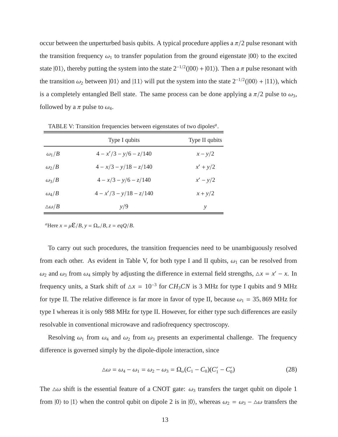occur between the unperturbed basis qubits. A typical procedure applies a  $\pi/2$  pulse resonant with the transition frequency  $\omega_1$  to transfer population from the ground eigenstate  $|00\rangle$  to the excited state  $|01\rangle$ , thereby putting the system into the state  $2^{-1/2}(|00\rangle + |01\rangle)$ . Then a  $\pi$  pulse resonant with the transition  $\omega_2$  between  $|01\rangle$  and  $|11\rangle$  will put the system into the state  $2^{-1/2}(|00\rangle + |11\rangle)$ , which is a completely entangled Bell state. The same process can be done applying a  $\pi/2$  pulse to  $\omega_3$ , followed by a  $\pi$  pulse to  $\omega_4$ .

|                  | Type I qubits             | Type II qubits |
|------------------|---------------------------|----------------|
| $\omega_1/B$     | $4 - x'/3 - y/6 - z/140$  | $x - y/2$      |
| $\omega_2/B$     | $4 - x/3 - y/18 - z/140$  | $x' + y/2$     |
| $\omega_3/B$     | $4 - x/3 - y/6 - z/140$   | $x'-y/2$       |
| $\omega_4/B$     | $4 - x'/3 - y/18 - z/140$ | $x + y/2$      |
| $\Delta\omega/B$ | y/9                       | ν              |

TABLE V: Transition frequencies between eigenstates of two dipoles*<sup>a</sup>* .

<sup>*a*</sup>Here  $x = \mu \mathcal{E}/B$ ,  $y = \Omega_a/B$ ,  $z = \frac{eqQ}{B}$ .

To carry out such procedures, the transition frequencies need to be unambiguously resolved from each other. As evident in Table V, for both type I and II qubits,  $\omega_1$  can be resolved from  $ω_2$  and  $ω_3$  from  $ω_4$  simply by adjusting the difference in external field strengths,  $Δx = x' - x$ . In frequency units, a Stark shift of  $\Delta x = 10^{-3}$  for  $CH_3CN$  is 3 MHz for type I qubits and 9 MHz for type II. The relative difference is far more in favor of type II, because  $\omega_1 = 35,869$  MHz for type I whereas it is only 988 MHz for type II. However, for either type such differences are easily resolvable in conventional microwave and radiofrequency spectroscopy.

Resolving  $\omega_1$  from  $\omega_4$  and  $\omega_2$  from  $\omega_3$  presents an experimental challenge. The frequency difference is governed simply by the dipole-dipole interaction, since

$$
\Delta \omega = \omega_4 - \omega_1 = \omega_2 - \omega_3 = \Omega_a (C_1 - C_0) (C'_1 - C'_0)
$$
\n(28)

The  $\Delta\omega$  shift is the essential feature of a CNOT gate:  $\omega_3$  transfers the target qubit on dipole 1 from  $|0\rangle$  to  $|1\rangle$  when the control qubit on dipole 2 is in  $|0\rangle$ , whereas  $\omega_2 = \omega_3 - \Delta\omega$  transfers the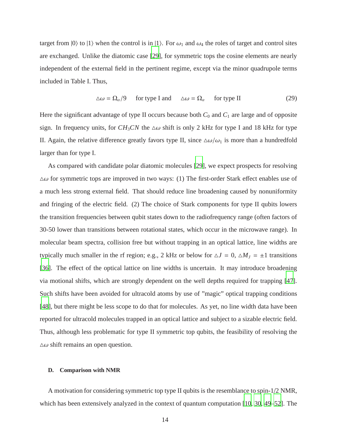target from  $|0\rangle$  to  $|1\rangle$  when the control is in  $|1\rangle$ . For  $\omega_1$  and  $\omega_4$  the roles of target and control sites are exchanged. Unlike the diatomic case [\[29\]](#page-24-0), for symmetric tops the cosine elements are nearly independent of the external field in the pertinent regime, except via the minor quadrupole terms included in Table I. Thus,

$$
\Delta \omega = \Omega_{\alpha}/9 \quad \text{for type I and} \quad \Delta \omega = \Omega_{\alpha} \quad \text{for type II} \tag{29}
$$

Here the significant advantage of type II occurs because both  $C_0$  and  $C_1$  are large and of opposite sign. In frequency units, for  $CH_3CN$  the  $\Delta\omega$  shift is only 2 kHz for type I and 18 kHz for type II. Again, the relative difference greatly favors type II, since  $\Delta\omega/\omega_1$  is more than a hundredfold larger than for type I.

As compared with candidate polar diatomic molecules [\[29](#page-24-0)], we expect prospects for resolving  $\Delta\omega$  for symmetric tops are improved in two ways: (1) The first-order Stark effect enables use of a much less strong external field. That should reduce line broadening caused by nonuniformity and fringing of the electric field. (2) The choice of Stark components for type II qubits lowers the transition frequencies between qubit states down to the radiofrequency range (often factors of 30-50 lower than transitions between rotational states, which occur in the microwave range). In molecular beam spectra, collision free but without trapping in an optical lattice, line widths are typically much smaller in the rf region; e.g., 2 kHz or below for  $\Delta J = 0$ ,  $\Delta M_J = \pm 1$  transitions [\[36\]](#page-24-7). The effect of the optical lattice on line widths is uncertain. It may introduce broadening via motional shifts, which are strongly dependent on the well depths required for trapping [\[47](#page-25-3)]. Such shifts have been avoided for ultracold atoms by use of "magic" optical trapping conditions [\[48\]](#page-25-4), but there might be less scope to do that for molecules. As yet, no line width data have been reported for ultracold molecules trapped in an optical lattice and subject to a sizable electric field. Thus, although less problematic for type II symmetric top qubits, the feasibility of resolving the  $\Delta\omega$  shift remains an open question.

# **D. Comparison with NMR**

A motivation for considering symmetric top type II qubits is the resemblance to spin-1/2 NMR, which has been extensively analyzed in the context of quantum computation [\[10](#page-23-6), [30](#page-24-1), [49](#page-25-5)[–52](#page-25-6)]. The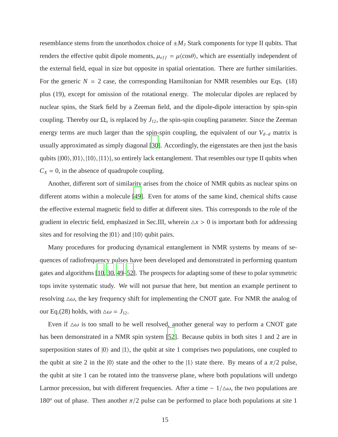resemblance stems from the unorthodox choice of  $\pm M_J$  Stark components for type II qubits. That renders the effective qubit dipole moments,  $\mu_{eff} = \mu \langle \cos \theta \rangle$ , which are essentially independent of the external field, equal in size but opposite in spatial orientation. There are further similarities. For the generic  $N = 2$  case, the corresponding Hamiltonian for NMR resembles our Eqs. (18) plus (19), except for omission of the rotational energy. The molecular dipoles are replaced by nuclear spins, the Stark field by a Zeeman field, and the dipole-dipole interaction by spin-spin coupling. Thereby our  $\Omega_{\alpha}$  is replaced by  $J_{12}$ , the spin-spin coupling parameter. Since the Zeeman energy terms are much larger than the spin-spin coupling, the equivalent of our *V<sup>d</sup>*−*<sup>d</sup>* matrix is usually approximated as simply diagonal [\[30\]](#page-24-1). Accordingly, the eigenstates are then just the basis qubits  $\{|00\rangle, |01\rangle, |10\rangle, |11\rangle\}$ , so entirely lack entanglement. That resembles our type II qubits when  $C_X = 0$ , in the absence of quadrupole coupling.

Another, different sort of similarity arises from the choice of NMR qubits as nuclear spins on different atoms within a molecule [\[49](#page-25-5)]. Even for atoms of the same kind, chemical shifts cause the effective external magnetic field to differ at different sites. This corresponds to the role of the gradient in electric field, emphasized in Sec.III, wherein  $\Delta x > 0$  is important both for addressing sites and for resolving the  $|01\rangle$  and  $|10\rangle$  qubit pairs.

Many procedures for producing dynamical entanglement in NMR systems by means of sequences of radiofrequency pulses have been developed and demonstrated in performing quantum gates and algorithms [\[10,](#page-23-6) [30](#page-24-1), [49](#page-25-5)[–52\]](#page-25-6). The prospects for adapting some of these to polar symmetric tops invite systematic study. We will not pursue that here, but mention an example pertinent to resolving  $\Delta\omega$ , the key frequency shift for implementing the CNOT gate. For NMR the analog of our Eq.(28) holds, with  $\Delta \omega = J_{12}$ .

Even if  $\Delta\omega$  is too small to be well resolved, another general way to perform a CNOT gate has been demonstrated in a NMR spin system [\[52\]](#page-25-6). Because qubits in both sites 1 and 2 are in superposition states of  $|0\rangle$  and  $|1\rangle$ , the qubit at site 1 comprises two populations, one coupled to the qubit at site 2 in the  $|0\rangle$  state and the other to the  $|1\rangle$  state there. By means of a  $\pi/2$  pulse, the qubit at site 1 can be rotated into the transverse plane, where both populations will undergo Larmor precession, but with different frequencies. After a time  $\sim 1/\Delta\omega$ , the two populations are 180<sup> $\degree$ </sup> out of phase. Then another  $\pi/2$  pulse can be performed to place both populations at site 1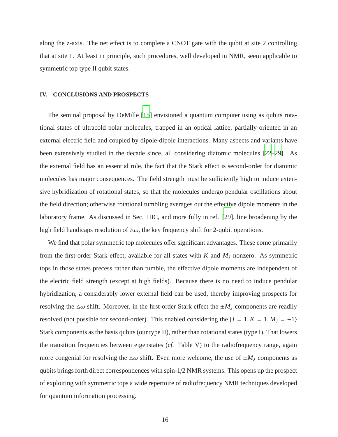along the z-axis. The net effect is to complete a CNOT gate with the qubit at site 2 controlling that at site 1. At least in principle, such procedures, well developed in NMR, seem applicable to symmetric top type II qubit states.

# **IV. CONCLUSIONS AND PROSPECTS**

The seminal proposal by DeMille [\[15](#page-23-4)] envisioned a quantum computer using as qubits rotational states of ultracold polar molecules, trapped in an optical lattice, partially oriented in an external electric field and coupled by dipole-dipole interactions. Many aspects and variants have been extensively studied in the decade since, all considering diatomic molecules [\[22](#page-23-7)[–29\]](#page-24-0). As the external field has an essential role, the fact that the Stark effect is second-order for diatomic molecules has major consequences. The field strength must be sufficiently high to induce extensive hybridization of rotational states, so that the molecules undergo pendular oscillations about the field direction; otherwise rotational tumbling averages out the effective dipole moments in the laboratory frame. As discussed in Sec. IIIC, and more fully in ref. [\[29](#page-24-0)], line broadening by the high field handicaps resolution of  $\Delta\omega$ , the key frequency shift for 2-qubit operations.

We find that polar symmetric top molecules offer significant advantages. These come primarily from the first-order Stark effect, available for all states with *K* and *M<sup>J</sup>* nonzero. As symmetric tops in those states precess rather than tumble, the effective dipole moments are independent of the electric field strength (except at high fields). Because there is no need to induce pendular hybridization, a considerably lower external field can be used, thereby improving prospects for resolving the  $\Delta\omega$  shift. Moreover, in the first-order Stark effect the  $\pm M_J$  components are readily resolved (not possible for second-order). This enabled considering the  $|J = 1, K = 1, M_J = \pm 1\rangle$ Stark components as the basis qubits (our type II), rather than rotational states (type I). That lowers the transition frequencies between eigenstates (*cf.* Table V) to the radiofrequency range, again more congenial for resolving the  $\Delta\omega$  shift. Even more welcome, the use of  $\pm M_J$  components as qubits brings forth direct correspondences with spin-1/2 NMR systems. This opens up the prospect of exploiting with symmetric tops a wide repertoire of radiofrequency NMR techniques developed for quantum information processing.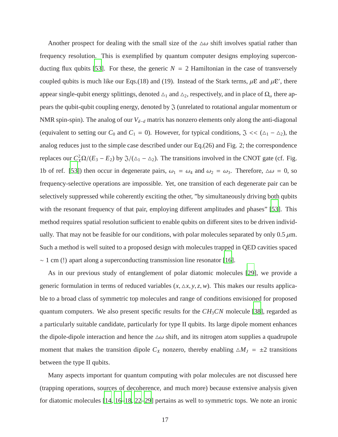Another prospect for dealing with the small size of the  $\Delta\omega$  shift involves spatial rather than frequency resolution. This is exemplified by quantum computer designs employing supercon-ducting flux qubits [\[53\]](#page-25-7). For these, the generic  $N = 2$  Hamiltonian in the case of transversely coupled qubits is much like our Eqs.(18) and (19). Instead of the Stark terms,  $\mu \mathcal{E}$  and  $\mu \mathcal{E}'$ , there appear single-qubit energy splittings, denoted  $\Delta_1$  and  $\Delta_2$ , respectively, and in place of  $\Omega_\alpha$  there appears the qubit-qubit coupling energy, denoted by  $\mathfrak{J}$  (unrelated to rotational angular momentum or NMR spin-spin). The analog of our *V<sup>d</sup>*−*<sup>d</sup>* matrix has nonzero elements only along the anti-diagonal (equivalent to setting our  $C_0$  and  $C_1 = 0$ ). However, for typical conditions,  $\Im \ll (\Delta_1 - \Delta_2)$ , the analog reduces just to the simple case described under our Eq.(26) and Fig. 2; the correspondence replaces our  $C_X^2 \Omega / (E_3 - E_2)$  by  $\Im / (\Delta_1 - \Delta_2)$ . The transitions involved in the CNOT gate (cf. Fig. 1b of ref. [\[53](#page-25-7)]) then occur in degenerate pairs,  $\omega_1 = \omega_4$  and  $\omega_2 = \omega_3$ . Therefore,  $\Delta \omega = 0$ , so frequency-selective operations are impossible. Yet, one transition of each degenerate pair can be selectively suppressed while coherently exciting the other, "by simultaneously driving both qubits with the resonant frequency of that pair, employing different amplitudes and phases" [\[53](#page-25-7)]. This method requires spatial resolution sufficient to enable qubits on different sites to be driven individually. That may not be feasible for our conditions, with polar molecules separated by only 0.5  $\mu$ m. Such a method is well suited to a proposed design with molecules trapped in QED cavities spaced  $\sim$  1 cm (!) apart along a superconducting transmission line resonator [\[16\]](#page-23-5).

As in our previous study of entanglement of polar diatomic molecules [\[29\]](#page-24-0), we provide a generic formulation in terms of reduced variables  $(x, \Delta x, y, z, w)$ . This makes our results applicable to a broad class of symmetric top molecules and range of conditions envisioned for proposed quantum computers. We also present specific results for the  $CH<sub>3</sub>CN$  molecule [\[38](#page-24-9)], regarded as a particularly suitable candidate, particularly for type II qubits. Its large dipole moment enhances the dipole-dipole interaction and hence the  $\Delta\omega$  shift, and its nitrogen atom supplies a quadrupole moment that makes the transition dipole  $C_X$  nonzero, thereby enabling  $\Delta M_J = \pm 2$  transitions between the type II qubits.

Many aspects important for quantum computing with polar molecules are not discussed here (trapping operations, sources of decoherence, and much more) because extensive analysis given for diatomic molecules [\[14,](#page-23-8) [16](#page-23-5)[–18](#page-23-9), [22](#page-23-7)[–29](#page-24-0)] pertains as well to symmetric tops. We note an ironic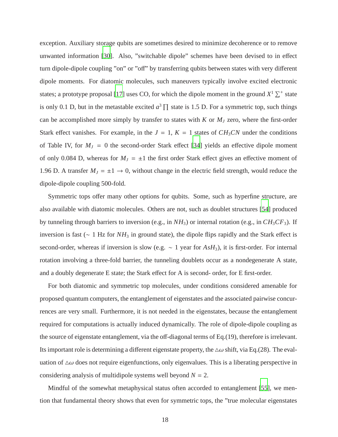exception. Auxiliary storage qubits are sometimes desired to minimize decoherence or to remove unwanted information [\[30\]](#page-24-1). Also, "switchable dipole" schemes have been devised to in effect turn dipole-dipole coupling "on" or "off" by transferring qubits between states with very different dipole moments. For diatomic molecules, such maneuvers typically involve excited electronic states; a prototype proposal [\[17](#page-23-3)] uses CO, for which the dipole moment in the ground  $X^1 \Sigma^+$  state is only 0.1 D, but in the metastable excited  $a^3$   $\prod$  state is 1.5 D. For a symmetric top, such things can be accomplished more simply by transfer to states with  $K$  or  $M_J$  zero, where the first-order Stark effect vanishes. For example, in the  $J = 1$ ,  $K = 1$  states of  $CH_3CN$  under the conditions of Table IV, for  $M_J = 0$  the second-order Stark effect [\[34](#page-24-5)] yields an effective dipole moment of only 0.084 D, whereas for  $M_J = \pm 1$  the first order Stark effect gives an effective moment of 1.96 D. A transfer  $M_J = \pm 1 \rightarrow 0$ , without change in the electric field strength, would reduce the dipole-dipole coupling 500-fold.

Symmetric tops offer many other options for qubits. Some, such as hyperfine structure, are also available with diatomic molecules. Others are not, such as doublet structures [\[54](#page-25-8)] produced by tunneling through barriers to inversion (e.g., in *NH*3) or internal rotation (e.g., in *CH*3*CF*3). If inversion is fast (∼ 1 Hz for *NH*<sup>3</sup> in ground state), the dipole flips rapidly and the Stark effect is second-order, whereas if inversion is slow (e.g. ∼ 1 year for *AsH*3), it is first-order. For internal rotation involving a three-fold barrier, the tunneling doublets occur as a nondegenerate A state, and a doubly degenerate E state; the Stark effect for A is second- order, for E first-order.

For both diatomic and symmetric top molecules, under conditions considered amenable for proposed quantum computers, the entanglement of eigenstates and the associated pairwise concurrences are very small. Furthermore, it is not needed in the eigenstates, because the entanglement required for computations is actually induced dynamically. The role of dipole-dipole coupling as the source of eigenstate entanglement, via the off-diagonal terms of Eq.(19), therefore is irrelevant. Its important role is determining a different eigenstate property, the  $\Delta \omega$  shift, via Eq.(28). The evaluation of  $\Delta\omega$  does not require eigenfunctions, only eigenvalues. This is a liberating perspective in considering analysis of multidipole systems well beyond  $N = 2$ .

Mindful of the somewhat metaphysical status often accorded to entanglement [\[55\]](#page-25-9), we mention that fundamental theory shows that even for symmetric tops, the "true molecular eigenstates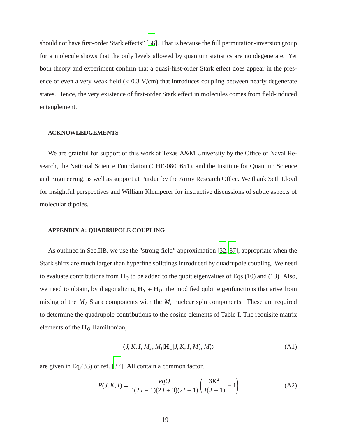should not have first-order Stark effects" [\[56](#page-25-10)]. That is because the full permutation-inversion group for a molecule shows that the only levels allowed by quantum statistics are nondegenerate. Yet both theory and experiment confirm that a quasi-first-order Stark effect does appear in the presence of even a very weak field (< 0.3 V/cm) that introduces coupling between nearly degenerate states. Hence, the very existence of first-order Stark effect in molecules comes from field-induced entanglement.

### **ACKNOWLEDGEMENTS**

We are grateful for support of this work at Texas A&M University by the Office of Naval Research, the National Science Foundation (CHE-0809651), and the Institute for Quantum Science and Engineering, as well as support at Purdue by the Army Research Office. We thank Seth Lloyd for insightful perspectives and William Klemperer for instructive discussions of subtle aspects of molecular dipoles.

#### **APPENDIX A: QUADRUPOLE COUPLING**

As outlined in Sec.IIB, we use the "strong-field" approximation [\[32,](#page-24-3) [37\]](#page-24-8), appropriate when the Stark shifts are much larger than hyperfine splittings introduced by quadrupole coupling. We need to evaluate contributions from **H***<sup>Q</sup>* to be added to the qubit eigenvalues of Eqs.(10) and (13). Also, we need to obtain, by diagonalizing  $H_s + H_\mathcal{Q}$ , the modified qubit eigenfunctions that arise from mixing of the *M<sup>J</sup>* Stark components with the *M<sup>I</sup>* nuclear spin components. These are required to determine the quadrupole contributions to the cosine elements of Table I. The requisite matrix elements of the **H***<sup>Q</sup>* Hamiltonian,

$$
\langle J, K, I, M_J, M_I | \mathbf{H}_Q | J, K, I, M'_J, M'_I \rangle \tag{A1}
$$

are given in Eq.(33) of ref. [\[37](#page-24-8)]. All contain a common factor,

$$
P(J, K, I) = \frac{eqQ}{4(2J - 1)(2J + 3)(2I - 1)} \left(\frac{3K^2}{J(J + 1)} - 1\right)
$$
(A2)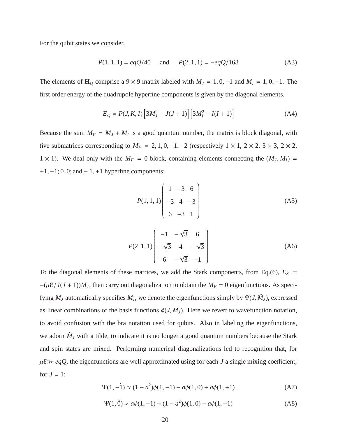For the qubit states we consider,

$$
P(1, 1, 1) = eqQ/40
$$
 and  $P(2, 1, 1) = -eqQ/168$  (A3)

The elements of  $\mathbf{H}_{Q}$  comprise a 9 × 9 matrix labeled with  $M_J = 1, 0, -1$  and  $M_I = 1, 0, -1$ . The first order energy of the quadrupole hyperfine components is given by the diagonal elements,

$$
E_Q = P(J, K, I) \left[ 3M_J^2 - J(J+1) \right] \left[ 3M_I^2 - I(I+1) \right]
$$
 (A4)

Because the sum  $M_F = M_J + M_I$  is a good quantum number, the matrix is block diagonal, with five submatrices corresponding to  $M_F = 2, 1, 0, -1, -2$  (respectively  $1 \times 1, 2 \times 2, 3 \times 3, 2 \times 2,$  $1 \times 1$ ). We deal only with the  $M_F = 0$  block, containing elements connecting the  $(M_J, M_I) =$  $+1, -1; 0, 0;$  and  $-1, +1$  hyperfine components:

$$
P(1,1,1) \begin{pmatrix} 1 & -3 & 6 \\ -3 & 4 & -3 \\ 6 & -3 & 1 \end{pmatrix}
$$
 (A5)

$$
P(2, 1, 1)\begin{pmatrix} -1 & -\sqrt{3} & 6 \\ -\sqrt{3} & 4 & -\sqrt{3} \\ 6 & -\sqrt{3} & -1 \end{pmatrix}
$$
 (A6)

To the diagonal elements of these matrices, we add the Stark components, from Eq.(6),  $E<sub>S</sub>$  =  $-(\mu \mathcal{E}/J(J+1))M_J$ , then carry out diagonalization to obtain the  $M_F = 0$  eigenfunctions. As specifying  $M_J$  automatically specifies  $M_I$ , we denote the eigenfunctions simply by  $\Psi(J, \tilde{M}_J)$ , expressed as linear combinations of the basis functions  $\phi(J, M_J)$ . Here we revert to wavefunction notation, to avoid confusion with the bra notation used for qubits. Also in labeling the eigenfunctions, we adorn  $\tilde{M}_J$  with a tilde, to indicate it is no longer a good quantum numbers because the Stark and spin states are mixed. Performing numerical diagonalizations led to recognition that, for  $\mu \varepsilon \gg eqQ$ , the eigenfunctions are well approximated using for each *J* a single mixing coefficient; for  $J = 1$ :

$$
\Psi(1, -\tilde{1}) \approx (1 - a^2)\phi(1, -1) - a\phi(1, 0) + a\phi(1, +1)
$$
 (A7)

$$
\Psi(1,\tilde{0}) \approx a\phi(1,-1) + (1-a^2)\phi(1,0) - a\phi(1,+1) \tag{A8}
$$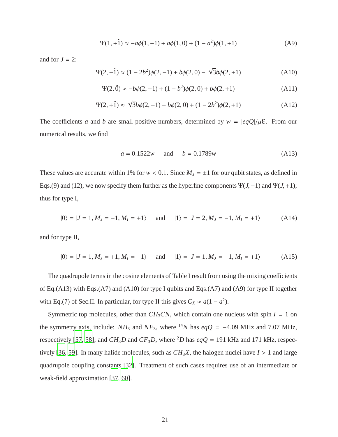$$
\Psi(1, +\tilde{1}) \approx -a\phi(1, -1) + a\phi(1, 0) + (1 - a^2)\phi(1, +1)
$$
 (A9)

and for  $J = 2$ :

$$
\Psi(2, -\tilde{1}) \approx (1 - 2b^2)\phi(2, -1) + b\phi(2, 0) - \sqrt{3}b\phi(2, +1)
$$
 (A10)

$$
\Psi(2,\tilde{0}) \approx -b\phi(2,-1) + (1-b^2)\phi(2,0) + b\phi(2,+1)
$$
 (A11)

$$
\Psi(2, +\tilde{1}) \approx \sqrt{3}b\phi(2, -1) - b\phi(2, 0) + (1 - 2b^2)\phi(2, +1)
$$
 (A12)

The coefficients *a* and *b* are small positive numbers, determined by  $w = |eqQ|/\mu \epsilon$ . From our numerical results, we find

$$
a = 0.1522w \quad \text{and} \quad b = 0.1789w \tag{A13}
$$

These values are accurate within 1% for  $w < 0.1$ . Since  $M_J = \pm 1$  for our qubit states, as defined in Eqs.(9) and (12), we now specify them further as the hyperfine components  $\Psi(J, -1)$  and  $\Psi(J, +1)$ ; thus for type I,

$$
|0\rangle = |J = 1, M_J = -1, M_I = +1\rangle
$$
 and  $|1\rangle = |J = 2, M_J = -1, M_I = +1\rangle$  (A14)

and for type II,

$$
|0\rangle = |J = 1, M_J = +1, M_I = -1\rangle
$$
 and  $|1\rangle = |J = 1, M_J = -1, M_I = +1\rangle$  (A15)

The quadrupole terms in the cosine elements of Table I result from using the mixing coefficients of Eq.(A13) with Eqs.(A7) and (A10) for type I qubits and Eqs.(A7) and (A9) for type II together with Eq.(7) of Sec.II. In particular, for type II this gives  $C_X \approx a(1 - a^2)$ .

Symmetric top molecules, other than  $CH_3CN$ , which contain one nucleus with spin  $I = 1$  on the symmetry axis, include:  $NH_3$  and  $NF_3$ , where <sup>14</sup>N has  $eqQ = -4.09$  MHz and 7.07 MHz, respectively [\[57](#page-25-11), [58\]](#page-25-12); and  $CH_3D$  and  $CF_3D$ , where <sup>2</sup>D has  $eqQ = 191$  kHz and 171 kHz, respec-tively [\[36,](#page-24-7) [59\]](#page-25-13). In many halide molecules, such as  $CH_3X$ , the halogen nuclei have  $I > 1$  and large quadrupole coupling constants [\[32\]](#page-24-3). Treatment of such cases requires use of an intermediate or weak-field approximation [\[37](#page-24-8), [60](#page-25-14)].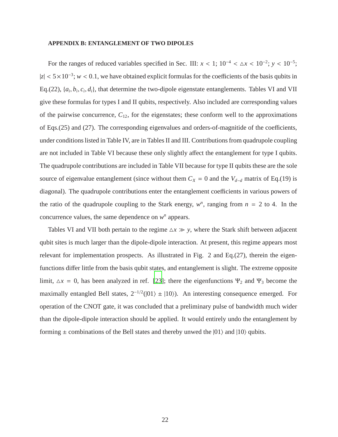### **APPENDIX B: ENTANGLEMENT OF TWO DIPOLES**

For the ranges of reduced variables specified in Sec. III:  $x < 1$ ;  $10^{-4} < \Delta x < 10^{-2}$ ;  $y < 10^{-5}$ ;  $|z| < 5 \times 10^{-3}$ ; *w* < 0.1, we have obtained explicit formulas for the coefficients of the basis qubits in Eq.(22),  $\{a_i, b_i, c_i, d_i\}$ , that determine the two-dipole eigenstate entanglements. Tables VI and VII give these formulas for types I and II qubits, respectively. Also included are corresponding values of the pairwise concurrence,  $C_{12}$ , for the eigenstates; these conform well to the approximations of Eqs.(25) and (27). The corresponding eigenvalues and orders-of-magnitide of the coefficients, under conditions listed in Table IV, are in Tables II and III. Contributions from quadrupole coupling are not included in Table VI because these only slightly affect the entanglement for type I qubits. The quadrupole contributions are included in Table VII because for type II qubits these are the sole source of eigenvalue entanglement (since without them  $C_X = 0$  and the  $V_{d-d}$  matrix of Eq.(19) is diagonal). The quadrupole contributions enter the entanglement coefficients in various powers of the ratio of the quadrupole coupling to the Stark energy,  $w<sup>n</sup>$ , ranging from  $n = 2$  to 4. In the concurrence values, the same dependence on  $w<sup>n</sup>$  appears.

Tables VI and VII both pertain to the regime  $\Delta x \gg y$ , where the Stark shift between adjacent qubit sites is much larger than the dipole-dipole interaction. At present, this regime appears most relevant for implementation prospects. As illustrated in Fig. 2 and Eq.(27), therein the eigenfunctions differ little from the basis qubit states, and entanglement is slight. The extreme opposite limit,  $\Delta x = 0$ , has been analyzed in ref. [\[23](#page-24-12)]; there the eigenfunctions  $\Psi_2$  and  $\Psi_3$  become the maximally entangled Bell states,  $2^{-1/2}(|01\rangle \pm |10\rangle)$ . An interesting consequence emerged. For operation of the CNOT gate, it was concluded that a preliminary pulse of bandwidth much wider than the dipole-dipole interaction should be applied. It would entirely undo the entanglement by forming  $\pm$  combinations of the Bell states and thereby unwed the  $|01\rangle$  and  $|10\rangle$  qubits.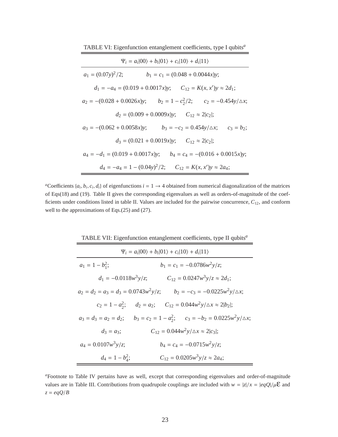TABLE VI: Eigenfunction entanglement coefficients, type I qubits*<sup>a</sup>*

| $\Psi_i = a_i 00\rangle + b_i 01\rangle + c_i 10\rangle + d_i 11\rangle$       |  |  |  |  |
|--------------------------------------------------------------------------------|--|--|--|--|
| $a_1 = (0.07y)^2/2;$<br>$b_1 = c_1 = (0.048 + 0.0044x)y;$                      |  |  |  |  |
| $d_1 = -a_4 = (0.019 + 0.0017x)y$ ; $C_{12} = K(x, x')y \approx 2d_1$ ;        |  |  |  |  |
| $a_2 = -(0.028 + 0.0026x)y$ ; $b_2 = 1 - c_2^2/2$ ; $c_2 = -0.454y/\Delta x$ ; |  |  |  |  |
| $d_2 = (0.009 + 0.0009x)y$ ; $C_{12} \approx 2 c_2 $ ;                         |  |  |  |  |
| $a_3 = -(0.062 + 0.0058x)y;$ $b_3 = -c_2 = 0.454y/\Delta x;$ $c_3 = b_2;$      |  |  |  |  |
| $d_3 = (0.021 + 0.0019x)y$ ; $C_{12} \approx 2 c_2 $ ;                         |  |  |  |  |
| $a_4 = -d_1 = (0.019 + 0.0017x)y$ ; $b_4 = c_4 = -(0.016 + 0.0015x)y$ ;        |  |  |  |  |
| $d_4 = -a_4 = 1 - (0.04y)^2/2$ ; $C_{12} = K(x, x')y \approx 2a_4$ ;           |  |  |  |  |

*a*Coefficients  $\{a_i, b_i, c_i, d_i\}$  of eigenfunctions  $i = 1 \rightarrow 4$  obtained from numerical diagonalization of the matrices of Eqs(18) and (19). Table II gives the corresponding eigenvalues as well as orders-of-magnitude of the coefficients under conditions listed in table II. Values are included for the pairwise concurrence, *C*12, and conform well to the approximations of Eqs.(25) and (27).

| TABLE VII: Eigenfunction entanglement coefficients, type II qubits <sup>a</sup> |                                                                                          |  |  |  |
|---------------------------------------------------------------------------------|------------------------------------------------------------------------------------------|--|--|--|
| $\Psi_i = a_i 00\rangle + b_i 01\rangle + c_i 10\rangle + d_i 11\rangle$        |                                                                                          |  |  |  |
| $a_1 = 1 - b_1^2;$                                                              | $b_1 = c_1 = -0.0786w^2y/z;$                                                             |  |  |  |
| $d_1 = -0.0118w^3y/z;$                                                          | $C_{12} = 0.0247w^3y/z \approx 2d_1;$                                                    |  |  |  |
|                                                                                 | $a_2 = d_2 = a_3 = d_3 = 0.0743w^2y/z;$ $b_2 = -c_3 = -0.0225w^2y/\Delta x;$             |  |  |  |
|                                                                                 | $c_2 = 1 - a_2^2$ ; $d_2 = a_2$ ; $C_{12} = 0.044w^2y/\Delta x \approx 2 b_2 $ ;         |  |  |  |
|                                                                                 | $a_3 = d_3 = a_2 = d_2$ ; $b_3 = c_2 = 1 - a_3^2$ ; $c_3 = -b_2 = 0.0225w^2y/\Delta x$ ; |  |  |  |
| $d_3 = a_3;$                                                                    | $C_{12} = 0.044w^2y/\Delta x \approx 2 c_3 $ ;                                           |  |  |  |
| $a_4 = 0.0107w^3y/z;$                                                           | $b_4 = c_4 = -0.0715w^2y/z;$                                                             |  |  |  |
| $d_4 = 1 - b_4^2;$                                                              | $C_{12} = 0.0205w^3y/z \approx 2a_4;$                                                    |  |  |  |

*<sup>a</sup>*Footnote to Table IV pertains have as well, except that corresponding eigenvalues and order-of-magnitude values are in Table III. Contributions from quadrupole couplings are included with  $w = |z|/x = |eqQ|/\mu \mathcal{E}$  and *z* = *eqQ*/*B*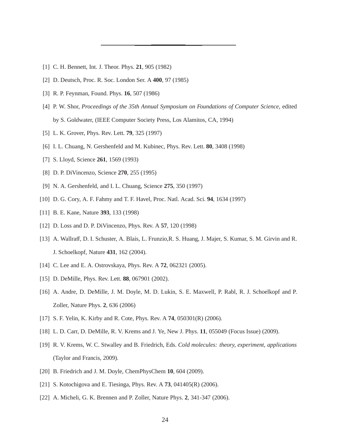- <span id="page-23-0"></span>[1] C. H. Bennett, Int. J. Theor. Phys. **21**, 905 (1982)
- [2] D. Deutsch, Proc. R. Soc. London Ser. A **400**, 97 (1985)
- [3] R. P. Feynman, Found. Phys. **16**, 507 (1986)
- [4] P. W. Shor, *Proceedings of the 35th Annual Symposium on Foundations of Computer Science*, edited by S. Goldwater, (IEEE Computer Society Press, Los Alamitos, CA, 1994)
- <span id="page-23-1"></span>[5] L. K. Grover, Phys. Rev. Lett. **79**, 325 (1997)
- <span id="page-23-2"></span>[6] I. L. Chuang, N. Gershenfeld and M. Kubinec, Phys. Rev. Lett. **80**, 3408 (1998)
- [7] S. Lloyd, Science **261**, 1569 (1993)
- [8] D. P. DiVincenzo, Science **270**, 255 (1995)
- [9] N. A. Gershenfeld, and I. L. Chuang, Science **275**, 350 (1997)
- <span id="page-23-6"></span>[10] D. G. Cory, A. F. Fahmy and T. F. Havel, Proc. Natl. Acad. Sci. **94**, 1634 (1997)
- [11] B. E. Kane, Nature **393**, 133 (1998)
- <span id="page-23-11"></span>[12] D. Loss and D. P. DiVincenzo, Phys. Rev. A **57**, 120 (1998)
- [13] A. Wallraff, D. I. Schuster, A. Blais, L. Frunzio,R. S. Huang, J. Majer, S. Kumar, S. M. Girvin and R. J. Schoelkopf, Nature **431**, 162 (2004).
- <span id="page-23-8"></span><span id="page-23-4"></span>[14] C. Lee and E. A. Ostrovskaya, Phys. Rev. A **72**, 062321 (2005).
- <span id="page-23-5"></span>[15] D. DeMille, Phys. Rev. Lett. **88**, 067901 (2002).
- [16] A. Andre, D. DeMille, J. M. Doyle, M. D. Lukin, S. E. Maxwell, P. Rabl, R. J. Schoelkopf and P. Zoller, Nature Phys. **2**, 636 (2006)
- <span id="page-23-9"></span><span id="page-23-3"></span>[17] S. F. Yelin, K. Kirby and R. Cote, Phys. Rev. A **74**, 050301(R) (2006).
- <span id="page-23-10"></span>[18] L. D. Carr, D. DeMille, R. V. Krems and J. Ye, New J. Phys. **11**, 055049 (Focus Issue) (2009).
- [19] R. V. Krems, W. C. Stwalley and B. Friedrich, Eds. *Cold molecules: theory, experiment, applications* (Taylor and Francis, 2009).
- [20] B. Friedrich and J. M. Doyle, ChemPhysChem **10**, 604 (2009).
- [21] S. Kotochigova and E. Tiesinga, Phys. Rev. A **73**, 041405(R) (2006).
- <span id="page-23-7"></span>[22] A. Micheli, G. K. Brennen and P. Zoller, Nature Phys. **2**, 341-347 (2006).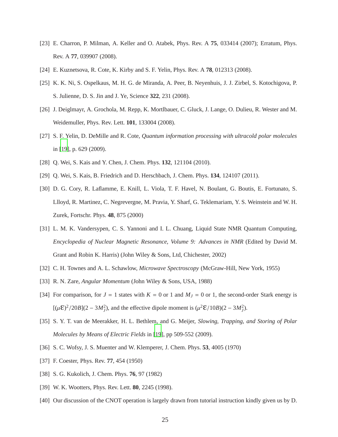- <span id="page-24-12"></span>[23] E. Charron, P. Milman, A. Keller and O. Atabek, Phys. Rev. A **75**, 033414 (2007); Erratum, Phys. Rev. A **77**, 039907 (2008).
- <span id="page-24-13"></span>[24] E. Kuznetsova, R. Cote, K. Kirby and S. F. Yelin, Phys. Rev. A **78**, 012313 (2008).
- [25] K. K. Ni, S. Ospelkaus, M. H. G. de Miranda, A. Peer, B. Neyenhuis, J. J. Zirbel, S. Kotochigova, P. S. Julienne, D. S. Jin and J. Ye, Science **322**, 231 (2008).
- <span id="page-24-14"></span>[26] J. Deiglmayr, A. Grochola, M. Repp, K. Mortlbauer, C. Gluck, J. Lange, O. Dulieu, R. Wester and M. Weidemuller, Phys. Rev. Lett. **101**, 133004 (2008).
- <span id="page-24-15"></span>[27] S. F. Yelin, D. DeMille and R. Cote, *Quantum information processing with ultracold polar molecules* in [\[19\]](#page-23-10), p. 629 (2009).
- <span id="page-24-0"></span>[28] Q. Wei, S. Kais and Y. Chen, J. Chem. Phys. **132**, 121104 (2010).
- <span id="page-24-1"></span>[29] Q. Wei, S. Kais, B. Friedrich and D. Herschbach, J. Chem. Phys. **134**, 124107 (2011).
- [30] D. G. Cory, R. Laflamme, E. Knill, L. Viola, T. F. Havel, N. Boulant, G. Boutis, E. Fortunato, S. Llloyd, R. Martinez, C. Negrevergne, M. Pravia, Y. Sharf, G. Teklemariam, Y. S. Weinstein and W. H. Zurek, Fortschr. Phys. **48**, 875 (2000)
- <span id="page-24-2"></span>[31] L. M. K. Vandersypen, C. S. Yannoni and I. L. Chuang, Liquid State NMR Quantum Computing, *Encyclopedia of Nuclear Magnetic Resonance, Volume 9: Advances in NMR* (Edited by David M. Grant and Robin K. Harris) (John Wiley & Sons, Ltd, Chichester, 2002)
- <span id="page-24-4"></span><span id="page-24-3"></span>[32] C. H. Townes and A. L. Schawlow, *Microwave Spectroscopy* (McGraw-Hill, New York, 1955)
- <span id="page-24-5"></span>[33] R. N. Zare, *Angular Momentum* (John Wiley & Sons, USA, 1988)
- [34] For comparison, for  $J = 1$  states with  $K = 0$  or 1 and  $M_J = 0$  or 1, the second-order Stark energy is  $[(\mu \mathcal{E})^2/20B](2 - 3M_J^2)$ , and the effective dipole moment is  $(\mu^2 \mathcal{E}/10B)(2 - 3M_J^2)$ .
- <span id="page-24-6"></span>[35] S. Y. T. van de Meerakker, H. L. Bethlem, and G. Meijer, *Slowing, Trapping, and Storing of Polar Molecules by Means of Electric Fields* in [\[19](#page-23-10)], pp 509-552 (2009).
- <span id="page-24-8"></span><span id="page-24-7"></span>[36] S. C. Wofsy, J. S. Muenter and W. Klemperer, J. Chem. Phys. **53**, 4005 (1970)
- [37] F. Coester, Phys. Rev. **77**, 454 (1950)
- <span id="page-24-10"></span><span id="page-24-9"></span>[38] S. G. Kukolich, J. Chem. Phys. **76**, 97 (1982)
- <span id="page-24-11"></span>[39] W. K. Wootters, Phys. Rev. Lett. **80**, 2245 (1998).
- [40] Our discussion of the CNOT operation is largely drawn from tutorial instruction kindly given us by D.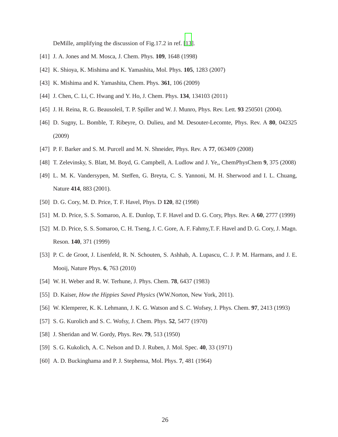DeMille, amplifying the discussion of Fig.17.2 in ref. [\[13](#page-23-11)].

- <span id="page-25-1"></span><span id="page-25-0"></span>[41] J. A. Jones and M. Mosca, J. Chem. Phys. **109**, 1648 (1998)
- [42] K. Shioya, K. Mishima and K. Yamashita, Mol. Phys. **105**, 1283 (2007)
- [43] K. Mishima and K. Yamashita, Chem. Phys. **361**, 106 (2009)
- [44] J. Chen, C. Li, C. Hwang and Y. Ho, J. Chem. Phys. **134**, 134103 (2011)
- <span id="page-25-2"></span>[45] J. H. Reina, R. G. Beausoleil, T. P. Spiller and W. J. Munro, Phys. Rev. Lett. **93** 250501 (2004).
- [46] D. Sugny, L. Bomble, T. Ribeyre, O. Dulieu, and M. Desouter-Lecomte, Phys. Rev. A **80**, 042325 (2009)
- <span id="page-25-4"></span><span id="page-25-3"></span>[47] P. F. Barker and S. M. Purcell and M. N. Shneider, Phys. Rev. A **77**, 063409 (2008)
- <span id="page-25-5"></span>[48] T. Zelevinsky, S. Blatt, M. Boyd, G. Campbell, A. Ludlow and J. Ye,, ChemPhysChem **9**, 375 (2008)
- [49] L. M. K. Vandersypen, M. Steffen, G. Breyta, C. S. Yannoni, M. H. Sherwood and I. L. Chuang, Nature **414**, 883 (2001).
- [50] D. G. Cory, M. D. Price, T. F. Havel, Phys. D **120**, 82 (1998)
- <span id="page-25-6"></span>[51] M. D. Price, S. S. Somaroo, A. E. Dunlop, T. F. Havel and D. G. Cory, Phys. Rev. A **60**, 2777 (1999)
- [52] M. D. Price, S. S. Somaroo, C. H. Tseng, J. C. Gore, A. F. Fahmy,T. F. Havel and D. G. Cory, J. Magn. Reson. **140**, 371 (1999)
- <span id="page-25-7"></span>[53] P. C. de Groot, J. Lisenfeld, R. N. Schouten, S. Ashhab, A. Lupascu, C. J. P. M. Harmans, and J. E. Mooij, Nature Phys. **6**, 763 (2010)
- <span id="page-25-9"></span><span id="page-25-8"></span>[54] W. H. Weber and R. W. Terhune, J. Phys. Chem. **78**, 6437 (1983)
- <span id="page-25-10"></span>[55] D. Kaiser, *How the Hippies Saved Physics* (WW.Norton, New York, 2011).
- <span id="page-25-11"></span>[56] W. Klemperer, K. K. Lehmann, J. K. G. Watson and S. C. Wofsey, J. Phys. Chem. **97**, 2413 (1993)
- <span id="page-25-12"></span>[57] S. G. Kurolich and S. C. Wofsy, J. Chem. Phys. **52**, 5477 (1970)
- <span id="page-25-13"></span>[58] J. Sheridan and W. Gordy, Phys. Rev. **79**, 513 (1950)
- <span id="page-25-14"></span>[59] S. G. Kukolich, A. C. Nelson and D. J. Ruben, J. Mol. Spec. **40**, 33 (1971)
- [60] A. D. Buckinghama and P. J. Stephensa, Mol. Phys. **7**, 481 (1964)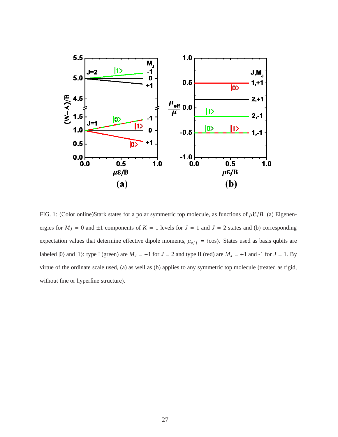

<span id="page-26-0"></span>FIG. 1: (Color online)Stark states for a polar symmetric top molecule, as functions of  $\mu \mathcal{E}/B$ . (a) Eigenenergies for  $M_J = 0$  and  $\pm 1$  components of  $K = 1$  levels for  $J = 1$  and  $J = 2$  states and (b) corresponding expectation values that determine effective dipole moments,  $\mu_{eff} = \langle \cos \rangle$ . States used as basis qubits are labeled  $|0\rangle$  and  $|1\rangle$ : type I (green) are  $M_J = -1$  for  $J = 2$  and type II (red) are  $M_J = +1$  and -1 for  $J = 1$ . By virtue of the ordinate scale used, (a) as well as (b) applies to any symmetric top molecule (treated as rigid, without fine or hyperfine structure).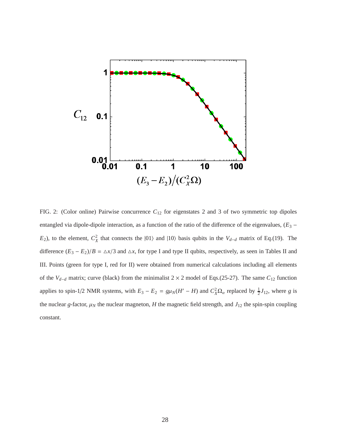

FIG. 2: (Color online) Pairwise concurrence *C*<sup>12</sup> for eigenstates 2 and 3 of two symmetric top dipoles entangled via dipole-dipole interaction, as a function of the ratio of the difference of the eigenvalues, (*E*<sup>3</sup> − *E*<sub>2</sub>), to the element,  $C_X^2$  that connects the  $|01\rangle$  and  $|10\rangle$  basis qubits in the *V*<sub>*d*−*d*</sub> matrix of Eq.(19). The difference  $(E_3 - E_2)/B = \Delta x/3$  and  $\Delta x$ , for type I and type II qubits, respectively, as seen in Tables II and III. Points (green for type I, red for II) were obtained from numerical calculations including all elements of the *Vd*−*<sup>d</sup>* matrix; curve (black) from the minimalist 2 × 2 model of Eqs.(25-27). The same *C*<sup>12</sup> function applies to spin-1/2 NMR systems, with  $E_3 - E_2 = g\mu_N(H' - H)$  and  $C_X^2\Omega_\alpha$  replaced by  $\frac{1}{2}J_{12}$ , where *g* is the nuclear *g*-factor,  $\mu_N$  the nuclear magneton, *H* the magnetic field strength, and  $J_{12}$  the spin-spin coupling constant.